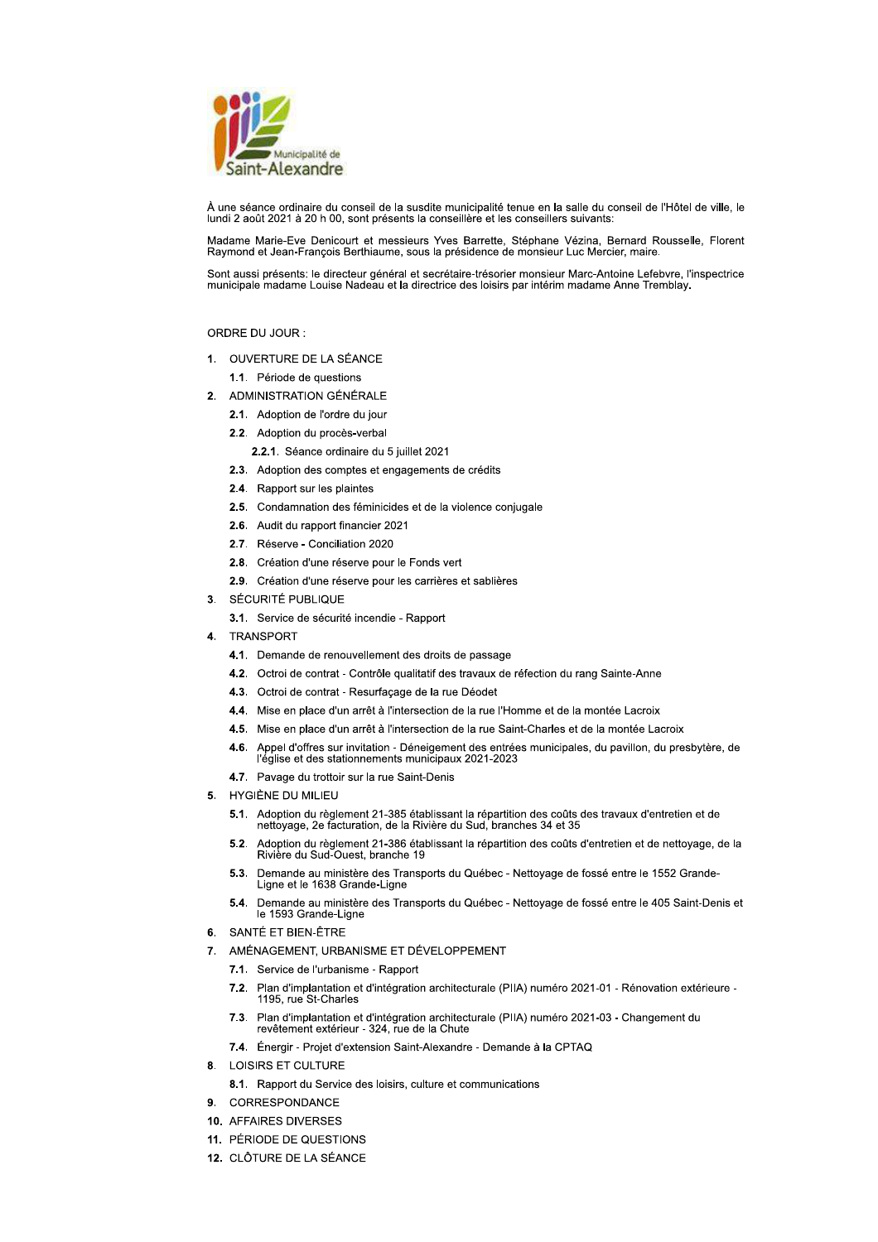

À une séance ordinaire du conseil de la susdite municipalité tenue en la salle du conseil de l'Hôtel de ville, le lundi 2 août 2021 à 20 h 00, sont présents la conseillère et les conseillers suivants:

Madame Marie-Eve Denicourt et messieurs Yves Barrette, Stéphane Vézina, Bernard Rousselle, Florent Raymond et Jean-François Berthiaume, sous la présidence de monsieur Luc Mercier, maire

Sont aussi présents: le directeur général et secrétaire-trésorier monsieur Marc-Antoine Lefebvre, l'inspectrice municipale madame Louise Nadeau et la directrice des loisirs par intérim madame Anne Tremblay.

# ORDRE DU JOUR :

- 1. OUVERTURE DE LA SÉANCE
	- 1.1. Période de questions
- 2. ADMINISTRATION GÉNÉRALE
	- 2.1. Adoption de l'ordre du jour
	- 2.2. Adoption du procès-verbal
		- 2.2.1. Séance ordinaire du 5 juillet 2021
	- 2.3. Adoption des comptes et engagements de crédits
	- 2.4. Rapport sur les plaintes
	- 2.5. Condamnation des féminicides et de la violence conjugale
	- 2.6. Audit du rapport financier 2021
	- 2.7. Réserve Conciliation 2020
	- 2.8. Création d'une réserve pour le Fonds vert
	- 2.9. Création d'une réserve pour les carrières et sablières
- 3. SÉCURITÉ PUBLIQUE
	- 3.1. Service de sécurité incendie Rapport
- TRANSPORT
	- 4.1. Demande de renouvellement des droits de passage
	- 4.2. Octroi de contrat Contrôle qualitatif des travaux de réfection du rang Sainte-Anne
	- 4.3. Octroi de contrat Resurfaçage de la rue Déodet
	- 4.4. Mise en place d'un arrêt à l'intersection de la rue l'Homme et de la montée Lacroix
	- 4.5. Mise en place d'un arrêt à l'intersection de la rue Saint-Charles et de la montée Lacroix
	- 4.6. Appel d'offres sur invitation Déneigement des entrées municipales, du pavillon, du presbytère, de l'église et des stationnements municipaux 2021-2023
	- 4.7. Pavage du trottoir sur la rue Saint-Denis
- 5. HYGIÈNE DU MILIEU
	- 5.1. Adoption du règlement 21-385 établissant la répartition des coûts des travaux d'entretien et de<br>nettoyage, 2e facturation, de la Rivière du Sud, branches 34 et 35
	- $5.2.$ Adoption du règlement 21-386 établissant la répartition des coûts d'entretien et de nettoyage, de la Rivière du Sud-Ouest, branche 19
	- 5.3. Demande au ministère des Transports du Québec Nettoyage de fossé entre le 1552 Grande-Ligne et le 1638 Grande-Ligne
	- 5.4. Demande au ministère des Transports du Québec Nettoyage de fossé entre le 405 Saint-Denis et le 1593 Grande-Ligne
- 6. SANTÉ ET BIEN-ÊTRE
- AMÉNAGEMENT, URBANISME ET DÉVELOPPEMENT  $\overline{7}$ 
	- 7.1. Service de l'urbanisme Rapport
	- 7.2. Plan d'implantation et d'intégration architecturale (PIIA) numéro 2021-01 Rénovation extérieure -1195. rue St-Charles
	- 7.3. Plan d'implantation et d'intégration architecturale (PIIA) numéro 2021-03 Changement du revêtement extérieur - 324, rue de la Chute
	- 7.4. Énergir Projet d'extension Saint-Alexandre Demande à la CPTAQ
- 8. LOISIRS ET CULTURE
	- 8.1. Rapport du Service des loisirs, culture et communications
- CORRESPONDANCE  $\mathbf{q}$
- 10. AFFAIRES DIVERSES
- 11. PÉRIODE DE QUESTIONS
- 12. CLÔTURE DE LA SÉANCE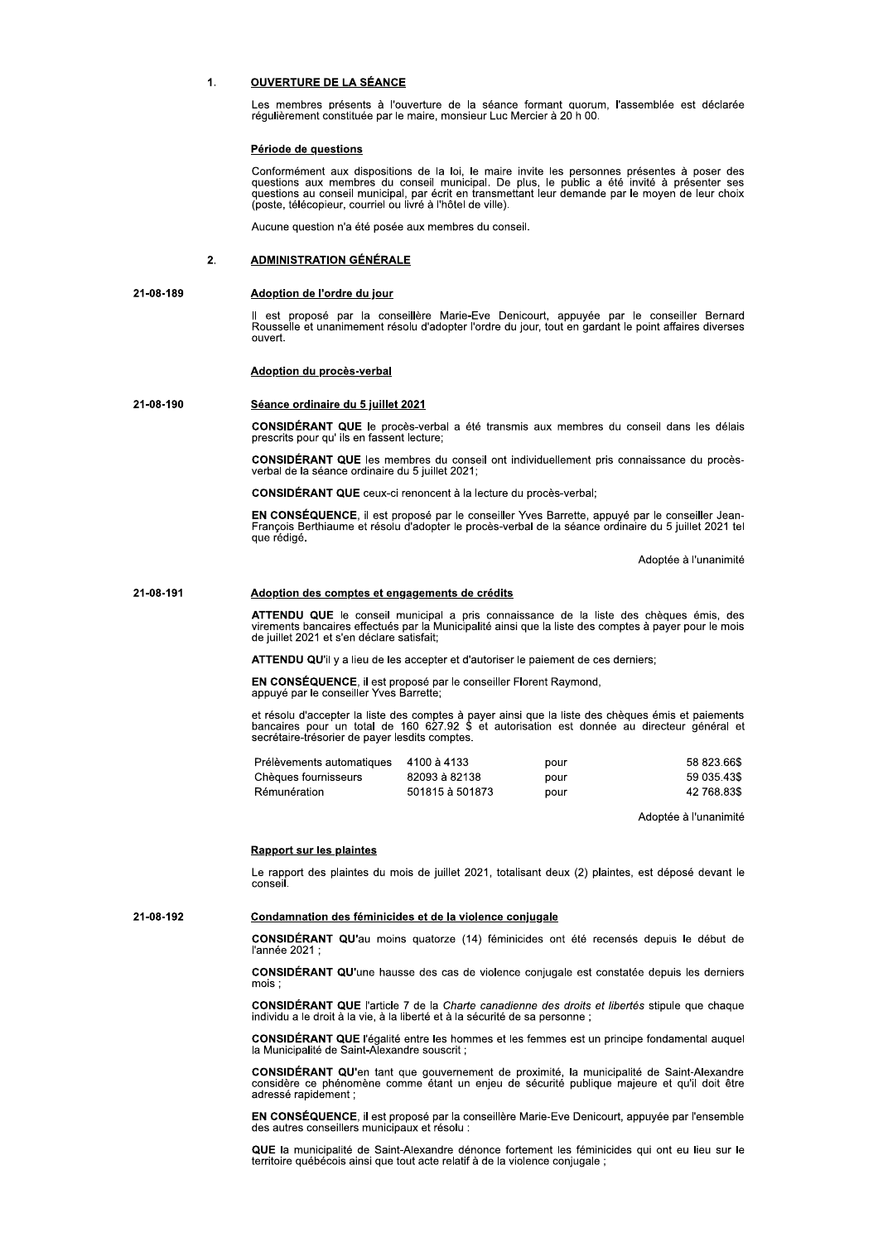#### $\ddot{\phantom{a}}$ **OUVERTURE DE LA SÉANCE**

Les membres présents à l'ouverture de la séance formant quorum, l'assemblée est déclarée régulièrement constituée par le maire, monsieur Luc Mercier à 20 h 00

## Période de questions

Conformément aux dispositions de la loi, le maire invite les personnes présentes à poser des questions aux membres du conseil municipal. De plus, le public a été invité à présenter ses questions au conseil municipal, par é (poste, télécopieur, courriel ou livré à l'hôtel de ville)

Aucune question n'a été posée aux membres du conseil.

#### $\overline{2}$ **ADMINISTRATION GÉNÉRALE**

#### 21-08-189 Adoption de l'ordre du jour

Il est proposé par la conseillère Marie-Eve Denicourt, appuyée par le conseiller Bernard Rousselle et unanimement résolu d'adopter l'ordre du jour, tout en gardant le point affaires diverses **OUVert** 

## Adoption du procès-verbal

#### 21-08-190 Séance ordinaire du 5 juillet 2021

CONSIDÉRANT QUE le procès-verbal a été transmis aux membres du conseil dans les délais prescrits pour qu'ils en fassent lecture;

CONSIDÉRANT QUE les membres du conseil ont individuellement pris connaissance du procèsverbal de la séance ordinaire du 5 juillet 2021;

CONSIDÉRANT QUE ceux-ci renoncent à la lecture du procès-verbal;

EN CONSÉQUENCE, il est proposé par le conseiller Yves Barrette, appuyé par le conseiller Jean-<br>François Berthiaume et résolu d'adopter le procès-verbal de la séance ordinaire du 5 juillet 2021 tel que rédigé.

Adoptée à l'unanimité

#### 21-08-191 Adoption des comptes et engagements de crédits

ATTENDU QUE le conseil municipal a pris connaissance de la liste des chèques émis, des<br>virements bancaires effectués par la Municipalité ainsi que la liste des comptes à payer pour le mois de juillet 2021 et s'en déclare satisfait;

**ATTENDU QU'il y a lieu de les accepter et d'autoriser le paiement de ces derniers:** 

EN CONSÉQUENCE, il est proposé par le conseiller Florent Raymond, appuyé par le conseiller Yves Barrette;

et résolu d'accepter la liste des comptes à payer ainsi que la liste des chèques émis et paiements bancaires pour un total de 160 627.92 \$ et autorisation est donnée au directeur général et secrétaire-trésorier de payer le

| Prélèvements automatiques | 4100 à 4133     | pour | 58 823.66\$ |
|---------------------------|-----------------|------|-------------|
| Chèques fournisseurs      | 82093 à 82138   | pour | 59 035.43\$ |
| Rémunération              | 501815 à 501873 | pour | 42 768.83\$ |

Adoptée à l'unanimité

## **Rapport sur les plaintes**

Le rapport des plaintes du mois de juillet 2021, totalisant deux (2) plaintes, est déposé devant le conseil.

#### 21-08-192 Condamnation des féminicides et de la violence conjugale

CONSIDÉRANT QU'au moins quatorze (14) féminicides ont été recensés depuis le début de l'année 2021

CONSIDÉRANT QU'une hausse des cas de violence conjugale est constatée depuis les derniers mois;

CONSIDÉRANT QUE l'article 7 de la Charte canadienne des droits et libertés stipule que chaque individu a le droit à la vie, à la liberté et à la sécurité de sa personne ;

CONSIDÉRANT QUE l'égalité entre les hommes et les femmes est un principe fondamental auquel la Municipalité de Saint-Alexandre souscrit,

CONSIDÉRANT QU'en tant que gouvernement de proximité, la municipalité de Saint-Alexandre considère ce phénomène comme étant un enjeu de sécurité publique majeure et qu'il doit être adressé ranidement ·

EN CONSÉQUENCE, il est proposé par la conseillère Marie-Eve Denicourt, appuyée par l'ensemble des autres conseillers municipaux et résolu :

QUE la municipalité de Saint-Alexandre dénonce fortement les féminicides qui ont eu lieu sur le territoire québécois ainsi que tout acte relatif à de la violence conjugale :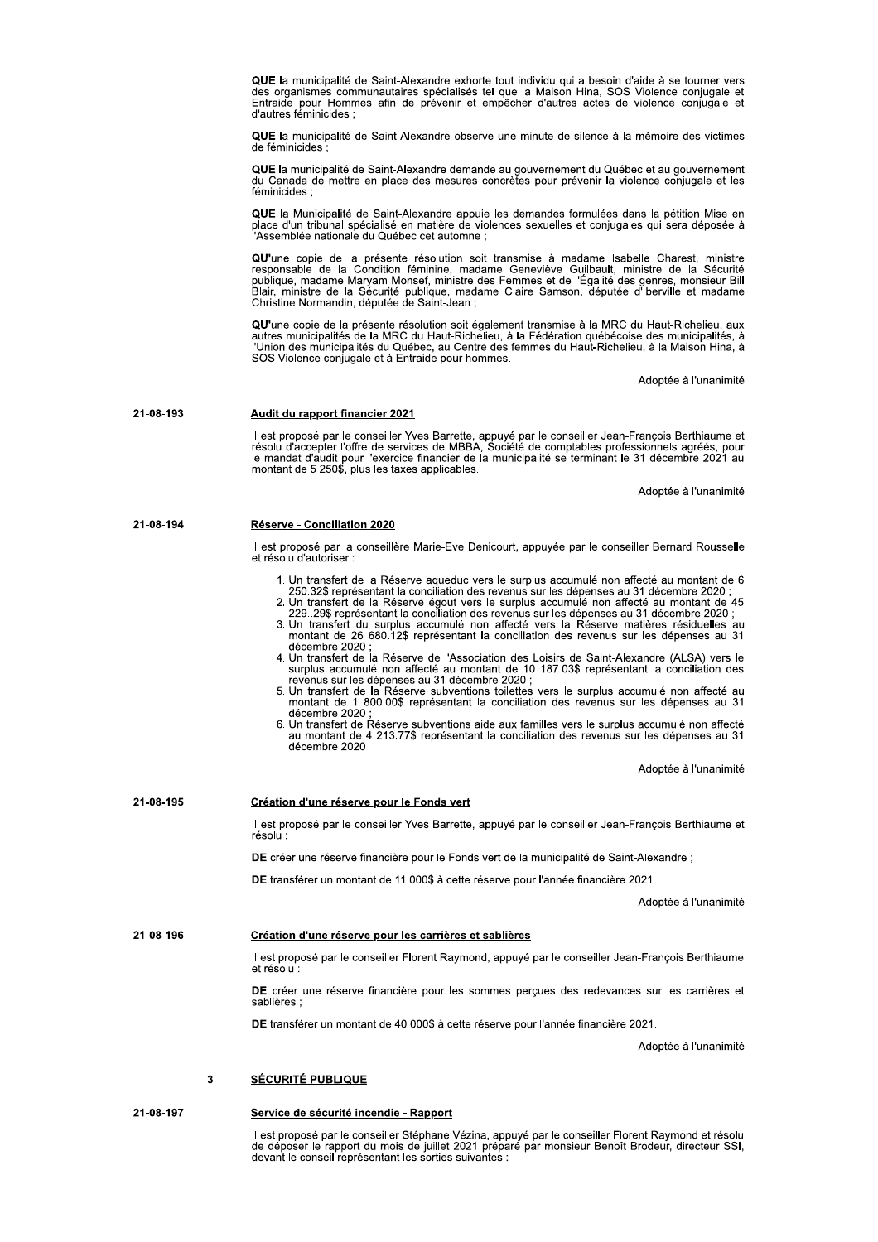QUE la municipalité de Saint-Alexandre exhorte tout individu qui a besoin d'aide à se tourner vers des organismes communautaires spécialisés tel que la Maison Hina, SOS Violence conjugale et Entraide pour Hommes afin de prévenir et empêcher d'autres actes de violence conjugale et d'autres féminicides

QUE la municipalité de Saint-Alexandre observe une minute de silence à la mémoire des victimes de féminicides

QUE la municipalité de Saint-Alexandre demande au gouvernement du Québec et au gouvernement du Canada de mettre en place des mesures concrètes pour prévenir la violence conjugale et les<br>féminicides :

QUE la Municipalité de Saint-Alexandre appuie les demandes formulées dans la pétition Mise en<br>place d'un tribunal spécialisé en matière de violences sexuelles et conjugales qui sera déposée à<br>l'Assemblée nationale du Québe

QU'une copie de la présente résolution soit transmise à madame Isabelle Charest. ministre responsable de la Condition féminine, madame Geneviève Guilbault, ministre de la Sécurité responsable de la Sécurité publique, madame Claire Semmes et de l'Égalité des genres, monsieur Bill<br>Blair, ministre de la Sécurité publique, madame Claire Samson, députée d'Iberville et madame<br>Christine Normandin, députée

QU'une copie de la présente résolution soit également transmise à la MRC du Haut-Richelieu, aux<br>autres municipalités de la MRC du Haut-Richelieu, à la Fédération québécoise des municipalités, à l'Union des municipalités du Québec, au Centre des femmes du Haut-Richelieu, à la Maison Hina, à SOS Violence conjugale et à Entraide pour hommes.

Adoptée à l'unanimité

21-08-193 Audit du rapport financier 2021

Il est proposé par le conseiller Yves Barrette, appuyé par le conseiller Jean-François Berthiaume et résolu d'accepter l'offre de services de MBBA, Société de comptables professionnels agréés, pour le mandat d'audit pour l

Adoptée à l'unanimité

| 21-08-194 | Réserve - Conciliation 2020 |  |
|-----------|-----------------------------|--|
|           |                             |  |

Il est proposé par la conseillère Marie-Eve Denicourt, appuyée par le conseiller Bernard Rousselle et résolu d'autoriser :

- 1. Un transfert de la Réserve aqueduc vers le surplus accumulé non affecté au montant de 6 250.32\$ représentant la conciliation des revenus sur les dépenses au 31 décembre 2020 ;
- 2. Un transfert de la Réserve égout vers le surplus accumulé non affecté au montant de 45 229..29\$ représentant la conciliation des revenus sur les dépenses au 31 décembre 2020 ;
- 3. Un transfert du surplus accumulé non affecté vers la Réserve matières résiduelles au montant de 26 680.12\$ représentant la conciliation des revenus sur les dépenses au 31 décembre 2020 :
- 4. Un transfert de la Réserve de l'Association des Loisirs de Saint-Alexandre (ALSA) vers le sur automobile non affecté au montant de 10 187.03\$ représentant la conciliation des<br>revenus sur les dépenses au 31 décembre 2020 ;<br>5. Un transfert de la Réserve subventions toilettes vers le surplus accumulé non affecté a
- montant de 1 800.00\$ représentant la conciliation des revenus sur les dépenses au 31 décembre 2020 ;
- Un transfert de Réserve subventions aide aux familles vers le surplus accumulé non affecté au montant de 4 213.77\$ représentant la conciliation des revenus sur les dépenses au 31 décembre 2020

Adoptée à l'unanimité

21-08-195 Création d'une réserve pour le Fonds vert Il est proposé par le conseiller Yves Barrette, appuyé par le conseiller Jean-François Berthiaume et résolu DE créer une réserve financière pour le Fonds vert de la municipalité de Saint-Alexandre ; DE transférer un montant de 11 000\$ à cette réserve pour l'année financière 2021. Adoptée à l'unanimité 21-08-196 Création d'une réserve pour les carrières et sablières Il est proposé par le conseiller Florent Raymond, appuyé par le conseiller Jean-François Berthiaume et résolu DE créer une réserve financière pour les sommes percues des redevances sur les carrières et sablières : DE transférer un montant de 40 000\$ à cette réserve pour l'année financière 2021. Adoptée à l'unanimité **SÉCURITÉ PUBLIQUE**  $\overline{3}$ .

21-08-197 Service de sécurité incendie - Rapport

> Il est proposé par le conseiller Stéphane Vézina, appuyé par le conseiller Florent Raymond et résolu<br>de déposer le rapport du mois de juillet 2021 préparé par monsieur Benoît Brodeur, directeur SSI, devant le conseil représentant les sorties suivantes :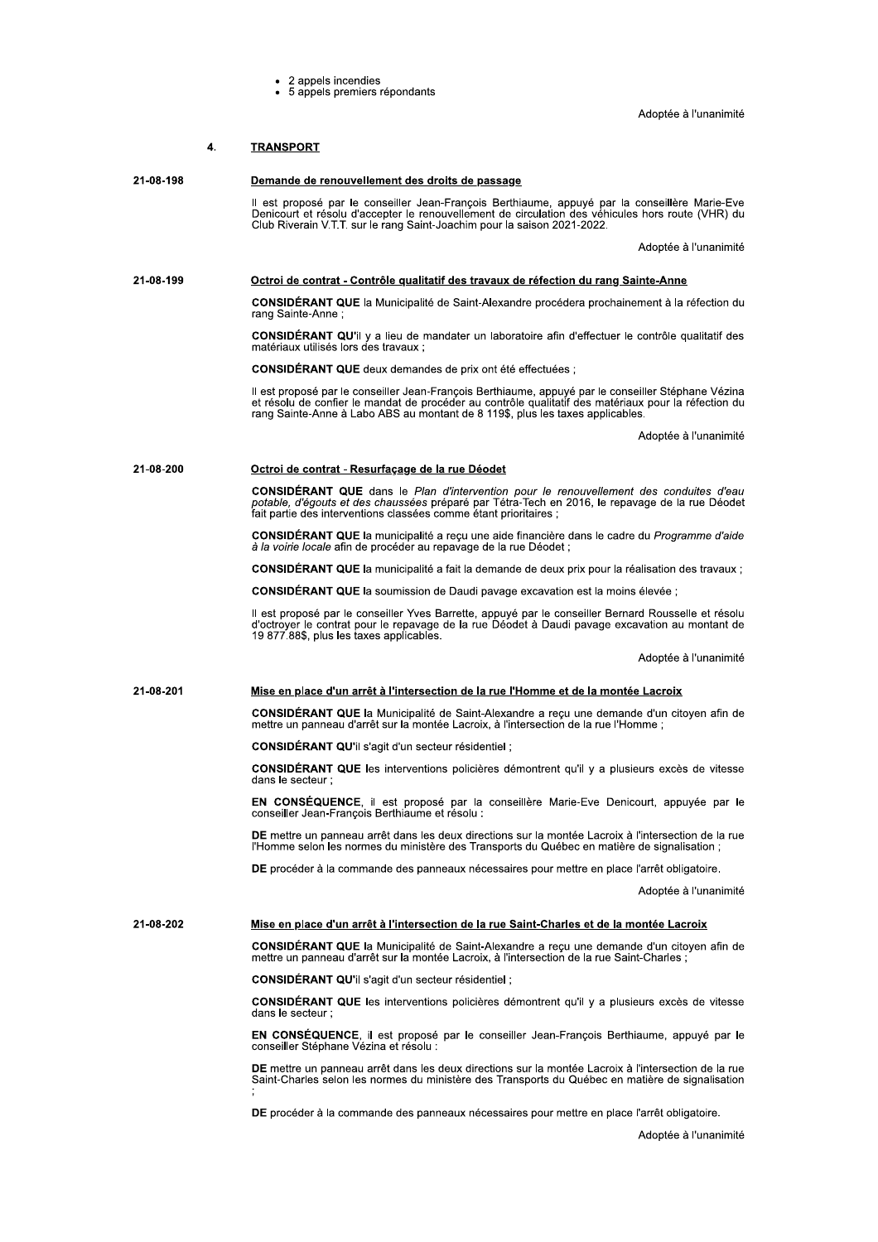• 2 appels incendies<br>• 5 appels premiers répondants

Adoptée à l'unanimité

| 4.        | <b>TRANSPORT</b>                                                                                                                                                                                                                                                                              |  |  |
|-----------|-----------------------------------------------------------------------------------------------------------------------------------------------------------------------------------------------------------------------------------------------------------------------------------------------|--|--|
| 21-08-198 | Demande de renouvellement des droits de passage                                                                                                                                                                                                                                               |  |  |
|           | Il est proposé par le conseiller Jean-François Berthiaume, appuyé par la conseillère Marie-Eve<br>Denicourt et résolu d'accepter le renouvellement de circulation des véhicules hors route (VHR) du<br>Club Riverain V.T.T. sur le rang Saint-Joachim pour la saison 2021-2022.               |  |  |
|           | Adoptée à l'unanimité                                                                                                                                                                                                                                                                         |  |  |
| 21-08-199 | Octroi de contrat - Contrôle qualitatif des travaux de réfection du rang Sainte-Anne                                                                                                                                                                                                          |  |  |
|           | <b>CONSIDERANT QUE</b> la Municipalité de Saint-Alexandre procédera prochainement à la réfection du<br>rang Sainte-Anne;                                                                                                                                                                      |  |  |
|           | <b>CONSIDERANT QU'il</b> y a lieu de mandater un laboratoire afin d'effectuer le contrôle qualitatif des<br>matériaux utilisés lors des travaux ;                                                                                                                                             |  |  |
|           | CONSIDERANT QUE deux demandes de prix ont été effectuées ;                                                                                                                                                                                                                                    |  |  |
|           | Il est proposé par le conseiller Jean-François Berthiaume, appuyé par le conseiller Stéphane Vézina<br>et résolu de confier le mandat de procéder au contrôle qualitatif des matériaux pour la réfection du<br>rang Sainte-Anne à Labo ABS au montant de 8 119\$, plus les taxes applicables. |  |  |
|           | Adoptée à l'unanimité                                                                                                                                                                                                                                                                         |  |  |
| 21-08-200 | Octroi de contrat - Resurfaçage de la rue Déodet                                                                                                                                                                                                                                              |  |  |
|           | <b>CONSIDERANT QUE</b> dans le Plan d'intervention pour le renouvellement des conduites d'eau<br>potable, d'égouts et des chaussées préparé par Tétra-Tech en 2016, le repavage de la rue Déodet<br>fait partie des interventions classées comme étant prioritaires :                         |  |  |
|           | <b>CONSIDERANT QUE</b> la municipalité a reçu une aide financière dans le cadre du Programme d'aide<br>à la voirie locale afin de procéder au repavage de la rue Déodet;                                                                                                                      |  |  |
|           | CONSIDERANT QUE la municipalité a fait la demande de deux prix pour la réalisation des travaux ;                                                                                                                                                                                              |  |  |
|           | CONSIDERANT QUE la soumission de Daudi pavage excavation est la moins élevée ;                                                                                                                                                                                                                |  |  |
|           | Il est proposé par le conseiller Yves Barrette, appuyé par le conseiller Bernard Rousselle et résolu<br>d'octroyer le contrat pour le repavage de la rue Déodet à Daudi pavage excavation au montant de<br>19 877 88\$, plus les taxes applicables.                                           |  |  |
|           | Adoptée à l'unanimité                                                                                                                                                                                                                                                                         |  |  |
| 21-08-201 | Mise en place d'un arrêt à l'intersection de la rue l'Homme et de la montée Lacroix                                                                                                                                                                                                           |  |  |
|           | <b>CONSIDÉRANT QUE</b> la Municipalité de Saint-Alexandre a reçu une demande d'un citoyen afin de<br>mettre un panneau d'arrêt sur la montée Lacroix, à l'intersection de la rue l'Homme;                                                                                                     |  |  |
|           | CONSIDÉRANT QU'il s'agit d'un secteur résidentiel ;                                                                                                                                                                                                                                           |  |  |
|           | <b>CONSIDERANT QUE</b> les interventions policières démontrent qu'il y a plusieurs excès de vitesse<br>dans le secteur :                                                                                                                                                                      |  |  |
|           | EN CONSÉQUENCE, il est proposé par la conseillère Marie-Eve Denicourt, appuyée par le<br>conseiller Jean-François Berthiaume et résolu :                                                                                                                                                      |  |  |
|           | DE mettre un panneau arrêt dans les deux directions sur la montée Lacroix à l'intersection de la rue<br>l'Homme selon les normes du ministère des Transports du Québec en matière de signalisation ;                                                                                          |  |  |
|           | DE procéder à la commande des panneaux nécessaires pour mettre en place l'arrêt obligatoire.                                                                                                                                                                                                  |  |  |
|           | Adoptée à l'unanimité                                                                                                                                                                                                                                                                         |  |  |
| 21-08-202 | Mise en place d'un arrêt à l'intersection de la rue Saint-Charles et de la montée Lacroix                                                                                                                                                                                                     |  |  |
|           | <b>CONSIDERANT QUE</b> la Municipalité de Saint-Alexandre a reçu une demande d'un citoyen afin de<br>mettre un panneau d'arrêt sur la montée Lacroix, à l'intersection de la rue Saint-Charles ;                                                                                              |  |  |
|           | CONSIDÉRANT QU'il s'agit d'un secteur résidentiel ;                                                                                                                                                                                                                                           |  |  |
|           | <b>CONSIDERANT QUE</b> les interventions policières démontrent qu'il y a plusieurs excès de vitesse<br>dans le secteur ;                                                                                                                                                                      |  |  |
|           | <b>EN CONSEQUENCE</b> , il est proposé par le conseiller Jean-François Berthiaume, appuyé par le<br>conseiller Stéphane Vézina et résolu :                                                                                                                                                    |  |  |
|           | DE mettre un panneau arrêt dans les deux directions sur la montée Lacroix à l'intersection de la rue<br>Saint-Charles selon les normes du ministère des Transports du Québec en matière de signalisation                                                                                      |  |  |
|           | DE procéder à la commande des panneaux nécessaires pour mettre en place l'arrêt obligatoire.                                                                                                                                                                                                  |  |  |

Adoptée à l'unanimité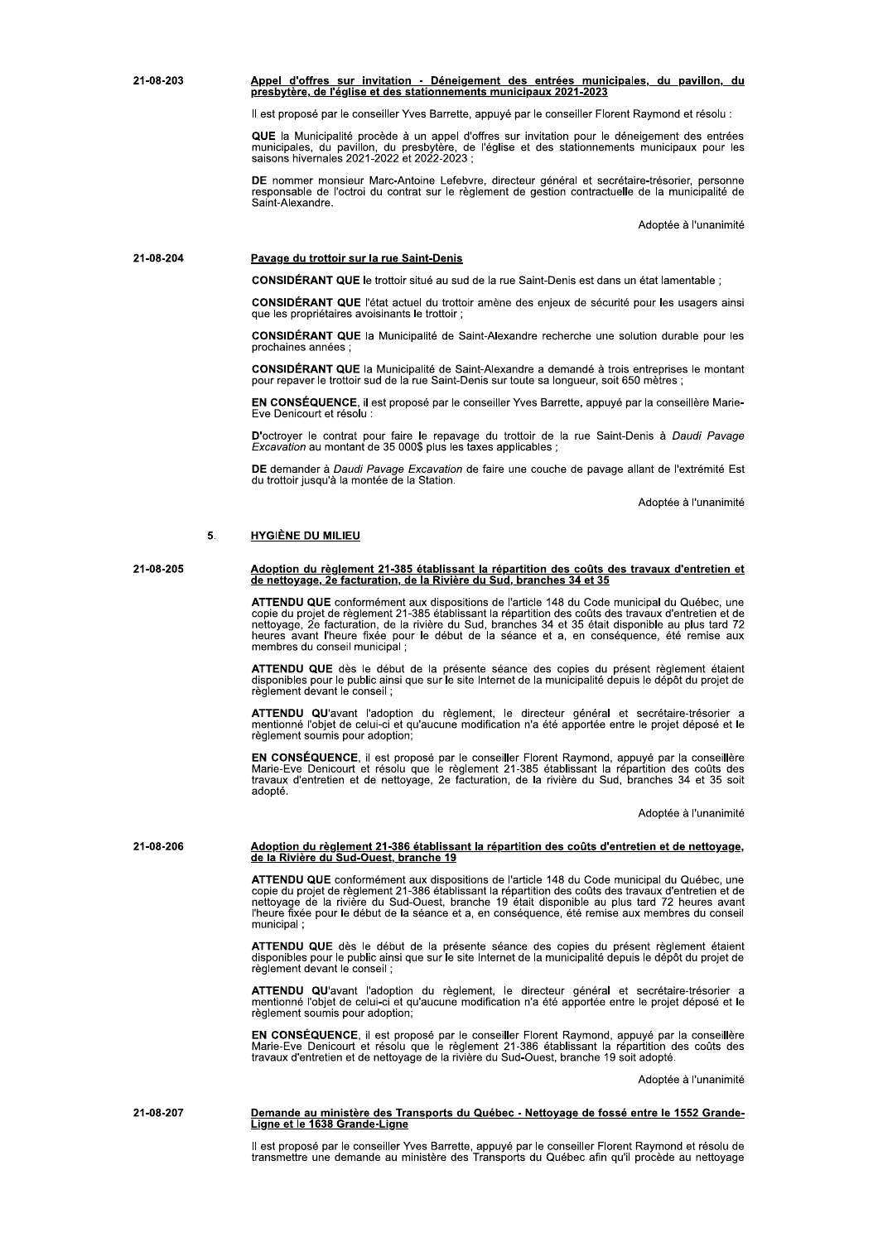21-08-203 6878 692:1086 67785 for aliation des entrées municipales, du pavillon, du<br>Presbytère, de l'église et des stationnements municipaux 2021-2023

 $\scriptstyle\rm II}$  est propose par le conseller Yves Barrette, appuye par le consellier Florent Raymond et resolu :

QUE la Municipalite procede a un appel d'offres sur invitation pour le deneigement des entrees<br>municipales, du pavillon, du presbytère, de l'église et des stationnements municipaux pour les<br>saisons hivernales 2021-2022 et et 2022-2023 ;

Appel d'offres sur invitation - Déneigen<br>Presbytère, de l'église et des stationnemen<br>Il est proposé par le conseiller Yves Barrette,<br>QUE la Municipalité procède à un appel d'o<br>municipales, du pavillon, du presbytère, de<br>sa DE nommer monsieur warc-Antoine Lerebyre, directeur general et secretaire-tresorier, personne<br>responsable de l'octroi du contrat sur le règlement de gestion contractuelle de la municipalité de Saint-Alexandre.

Adoptee a runanimite

# 21-08-204 Pavage du trottoir sur la rue Saint-Denis

**CONSIDERANT QUE** le trottoir situe au sud de la rue Saint-Denis est dans un etat lamentable ;

CONSIDERANT QUE l'etat actuel du trottoir amene des enjeux de securite pour les usagers ainsi<br>que les propriétaires avoisinants le trottoir ; les proprietaires avoisinants le trottoir ;

 $\text{CONSDEKANI}$  QUE la Municipalite de Saint-Alexandre recherche une solution durable pour les procnair ines ai  $\mathsf{a}$ n nnees ; \*

a demande a trois entreprises le montan CONSIDERANT QUE la Municipalite de Saint-Alexandre a demande a trois entreprises le montant<br>pour repaver le trottoir sud de la rue Saint-Denis sur toute sa longueur, soit 650 mètres ;

**EN CONSEQUENCE**, il est propose par le consellier Yves Barrette, appuye par la conselliere Marie-<br>Eve Denicourt et résolu : Denicourt ei et re resolu : η,

**D**'octroyer le contrat pour taire le repavage du troitoir de la rue Saint-Denis a *Daudi Pavage* Excavation au montant de 35 000\$ plus les taxes applicables ;

DE demander a *Daudi-Pavage Excavation* de faire une couche de pavage allant de l'extremite Est<br>du trottoir jusqu'à la montée de la Station. trottoir jusqu'a la montee de la Station.

Adoptee a runanimite

# 5. HYGIÈNE DU MILIEU

# 01234203q 6;=7EB=C:;A:?NH98I8CE:01254q:GEFL9B@@FCE:9F:?G7F?EBEB=C:;8@:J=E@:;8@:E?FDFAO:;<8CE?8EB8C:8E ;8:C8EE=MFH8K:08:>FJEA?FEB=CK:;8:9F:VBDBN?8:;A:SA;K:L?FCJ8@:5o:8E:5q

ATTENDU QUE conformement aux dispositions de l'article 148 du Code municipal du Quebec, une<br>copie du projet de règlement 21-385 établissant la répartition des coûts des travaux d'entretien et de<br>nettoyage, 2e facturation, Add<br>
<u>IE DU MILIEU</u><br>
<u>In du règlement 21-385 établissant la répartition des coûts des trava<br>
yyage, 2e facturation, de la Rivière du Sud, branches 34 et 35<br>
DU QUE conformément aux dispositions de l'article 148 du Code mun</u> nettoyage, 2e facturation, de la riviere du Sud, branches 34 et 35 etait disponible au plus tard 72<br>heures avant l'heure fixée pour le début de la séance et a, en conséquence, été remise aux membres du conseil municipai ;

ATTENDU QUE des le debut de la presente seance des copies du present reglement etaient<br>disponibles pour le public ainsi que sur le site Internet de la municipalité depuis le dépôt du projet de<br>règlement devant le conseil ; devant le conseil ;

ATTENDU QU'avant l'adoption du regiement, le directeur general et secretaire-tresorier à<br>mentionné l'objet de celui-ci et qu'aucune modification n'a été apportée entre le projet déposé et le<br>règlement soumis pour adoption; soumis pour adoption;

**EN CONSEQUENCE**, il est propose par le conseiller Florent Raymond, appuye par la conseillere Marie-Eve Denicourt et resolu que le regiement 21-385 etablissant la repartition des couts des<br>travaux d'entretien et de nettoyage, 2e facturation, de la rivière du Sud, branches 34 et 35 soit<br>adopté. it de la présente séance des copies du proitique sur le site Internet de la municipalité de<br>
ion du règlement, le directeur général (<br>
ion du règlement, le directeur général (<br>
du'aucune modification n'a été apportée en<br>
o adopté

Adoptee a runanimite

# 21-08-206 6:205 Adoption du règlement 21-386 établissant la répartition des coûts d'entretien et de nettoyage,<br>28 de la Rivière du Sud-Ouest, branche 19

ATTENDU QUE conformement aux dispositions de l'article 1 2e facturation, de la rivière du Sud, branche de la rivière du Sud, branche Adomesia de la rivière du Sud, branche de la rivière du Sud, branche e la répartition des coûts d'entretien dispositions de l'article 148 du Code ATTENDU QUE conformement aux dispositions de l'article 148 du Code municipal du Quebec, une<br>copie du projet de règlement 21-386 établissant la répartition des coûts des travaux d'entretien et de n du règlement 21-386 établissant la répair<br>
wiere du Sud-Ouest, branche 19<br>
DU QUE conformément aux dispositions de l'<br>
projet de règlement 21-386 établissant la répair<br>
projet de règlement 21-386 établissant la rép<br>
gue copie du projet de réglement 21-386 etablissant la répartition des couts des travaux d'entretien et de<br>nettoyage de la rivière du Sud-Ouest, branche 19 était disponible au plus tard 72 heures avant **I-386 établissant la répartition des coûts d<br>
st, branche 19<br>
ment aux dispositions de l'article 148 du Cod<br>
nt 21-386 établissant la répartition des coûts d<br>
Sud-Ouest, branche 19 était disponible au<br>
de la séance et a,** ețait disponible au plus tard 72 neures avan nettoyage de la riviere du Sud-Ouest, branche 19 etait disponible au plus tard 72 neures avant<br>l'heure fixée pour le début de la séance et a, en conséquence, été remise aux membres du conseil municipai ;

ATTENDU QUE des le debut de la presente seance des copies du present reglement etaient<br>disponibles pour le public ainsi que sur le site Internet de la municipalité depuis le dépôt du projet de regiement devant le conseil ; t de la présente séance des copies du pi<br>
i que sur le site Internet de la municipalité de<br>
ion du règlement, le directeur général<br>
et qu'aucune modification n'a été apportée en<br>
on,<br>
in que le règlement 21-386 établissant

ATTENDU QU'avant l'adoption du regiement, le directeur general et secretaire-tresorier à mentionne l'objet de celui-ci et qu'aucune modification n'a ete apportée entre le projet depose et le regiement soumis pour adoption; ernet de la municipalité depuis le dépôt du pro<br>
, le directeur général et secrétaire-tréso<br>
cation n'a été apportée entre le projet dépose<br>
seiller Florent Raymond, appuyé par la cons<br>
nt 21-386 établissant la répartition

**EN CONSEQUENCE**, il est propose par le conseiller Florent Raymond, appuye par la conseillere<br>Marie-Eve Denicourt et résolu que le règlement 21-386 établissant la répartition des coûts des marie-Eve Denicourt et resoiu que le regiement 21-386 etablissant la repartition des couts des<br>travaux d'entretien et de nettoyage de la rivière du Sud-Ouest, branche 19 soit adopté. soit adopte.

Adoptee a l'unanimite

# <u>Demande au ministere des Transports du Quebec - Nettoyage de fosse entre le 1552 Grande-<br>Ligne et le 1638 Grande-Ligne<br>Il est proposé par le conseiller Yves Barrette, appuyé par le conseiller Florent Raymond et résolu de<br></u>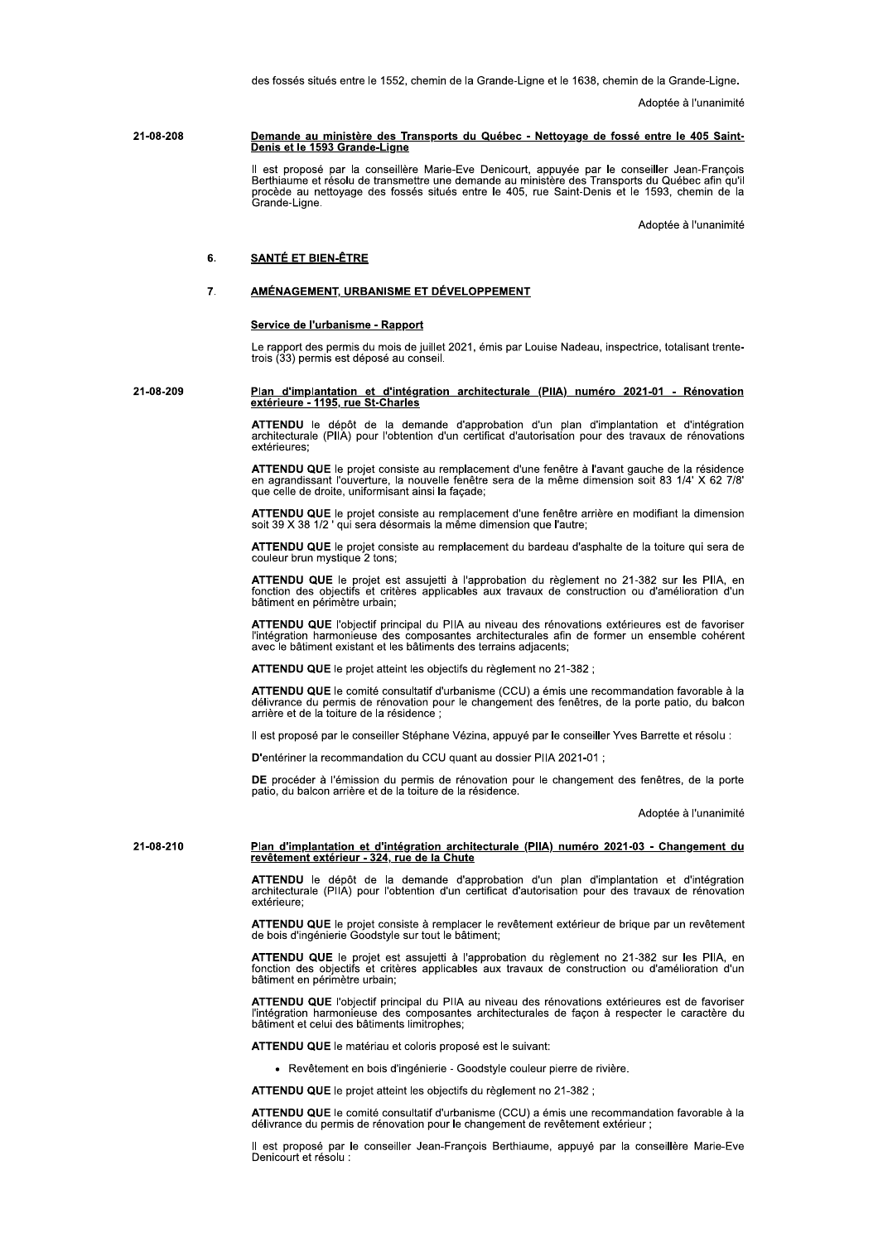des fossés situés entre le 1552, chemin de la Grande-Ligne et le 1638, chemin de la Grande-Ligne.

Adoptée à l'unanimité

#### 21-08-208 Demande au ministère des Transports du Québec - Nettoyage de fossé entre le 405 Saint-Denis et le 1593 Grande-Ligne

Il est proposé par la conseillère Marie-Eve Denicourt, appuyée par le conseiller Jean-François<br>Berthiaume et résolu de transmettre une demande au ministère des Transports du Québec afin qu'il<br>procède au nettoyage des fossé

Adoptée à l'unanimité

#### **SANTÉ ET BIEN-ÊTRE** 6.

#### AMÉNAGEMENT, URBANISME ET DÉVELOPPEMENT  $\overline{7}$

# Service de l'urbanisme - Rapport

Le rapport des permis du mois de juillet 2021, émis par Louise Nadeau, inspectrice, totalisant trentetrois (33) permis est déposé au conseil.

# 21-08-209 Plan d'implantation et d'intégration architecturale (PIIA) numéro 2021-01 - Rénovation extérieure - 1195, rue St-Charles

ATTENDU le dépôt de la demande d'approbation d'un plan d'implantation et d'intégration architecturale (PIIA) pour l'obtention d'un certificat d'autorisation pour des travaux de rénovations extérieures:

ATTENDU QUE le projet consiste au remplacement d'une fenêtre à l'avant gauche de la résidence en agrandissant l'ouverture, la nouvelle fenêtre sera de la même dimension soit 83 1/4' X 62 7/8' que celle de droite, uniformisant ainsi la façade;

ATTENDU QUE le projet consiste au remplacement d'une fenêtre arrière en modifiant la dimension soit 39 X 38 1/2 ' qui sera désormais la même dimension que l'autre;

ATTENDU QUE le projet consiste au remplacement du bardeau d'asphalte de la toiture qui sera de couleur brun mystique 2 tons;

ATTENDU QUE le projet est assujetti à l'approbation du règlement no 21-382 sur les PIIA, en fonction des objectifs et critères applicables aux travaux de construction ou d'amélioration d'un bâtiment en périmètre urbain:

ATTENDU QUE l'objectif principal du PIIA au niveau des rénovations extérieures est de favoriser l'intégration harmonieuse des composantes architecturales afin de former un ensemble cohérent avec le bâtiment existant et les bâtiments des terrains adjacents;

ATTENDU QUE le projet atteint les objectifs du règlement no 21-382 ;

ATTENDU QUE le comité consultatif d'urbanisme (CCU) a émis une recommandation favorable à la délivrance du permis de rénovation pour le changement des fenêtres, de la porte patio, du balcon arrière et de la toiture de la résidence;

Il est proposé par le conseiller Stéphane Vézina, appuyé par le conseiller Yves Barrette et résolu :

D'entériner la recommandation du CCU quant au dossier PIIA 2021-01 ;

DE procéder à l'émission du permis de rénovation pour le changement des fenêtres, de la porte patio, du balcon arrière et de la toiture de la résidence.

Adoptée à l'unanimité

21-08-210

# Plan d'implantation et d'intégration architecturale (PIIA) numéro 2021-03 - Changement du<br>revêtement extérieur - 324, rue de la Chute

ATTENDU le dépôt de la demande d'approbation d'un plan d'implantation et d'intégration<br>architecturale (PIIA) pour l'obtention d'un certificat d'autorisation pour des travaux de rénovation extérieure:

ATTENDU QUE le projet consiste à remplacer le revêtement extérieur de brique par un revêtement de bois d'ingénierie Goodstyle sur tout le bâtiment;

ATTENDU QUE le projet est assujetti à l'approbation du règlement no 21-382 sur les PIIA, en fonction des objectifs et critères applicables aux travaux de construction ou d'amélioration d'un bâtiment en périmètre urbain:

ATTENDU QUE l'objectif principal du PIIA au niveau des rénovations extérieures est de favoriser l'intégration harmonieuse des composantes architecturales de façon à respecter le caractère du<br>bâtiment et celui des bâtiments limitrophes;

ATTENDU QUE le matériau et coloris proposé est le suivant:

· Revêtement en bois d'ingénierie - Goodstyle couleur pierre de rivière.

ATTENDU QUE le projet atteint les objectifs du règlement no 21-382 ;

ATTENDU QUE le comité consultatif d'urbanisme (CCU) a émis une recommandation favorable à la délivrance du permis de rénovation pour le changement de revêtement extérieur

Il est proposé par le conseiller Jean-François Berthiaume, appuyé par la conseillère Marie-Eve Denicourt et résolu